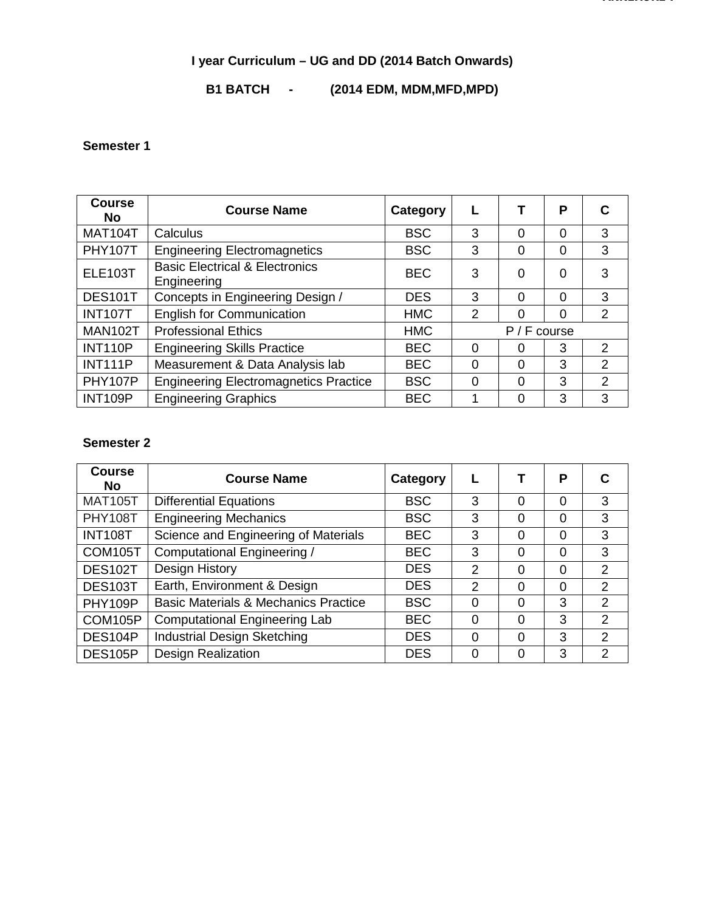#### **I year Curriculum – UG and DD (2014 Batch Onwards)**

#### **B1 BATCH - (2014 EDM, MDM,MFD,MPD)**

#### **Semester 1**

| <b>Course</b><br><b>No</b> | <b>Course Name</b>                                       | Category   |                |          | P        |                |
|----------------------------|----------------------------------------------------------|------------|----------------|----------|----------|----------------|
| <b>MAT104T</b>             | Calculus                                                 | <b>BSC</b> | 3              | $\Omega$ | $\Omega$ | 3              |
| <b>PHY107T</b>             | <b>Engineering Electromagnetics</b>                      | <b>BSC</b> | 3              | 0        | $\Omega$ | 3              |
| <b>ELE103T</b>             | <b>Basic Electrical &amp; Electronics</b><br>Engineering | <b>BEC</b> | 3              | 0        | $\Omega$ | 3              |
| DES101T                    | Concepts in Engineering Design /                         | <b>DES</b> | 3              | $\Omega$ | $\Omega$ | 3              |
| <b>INT107T</b>             | <b>English for Communication</b>                         | <b>HMC</b> | 2              | 0        | $\Omega$ | 2              |
| <b>MAN102T</b>             | <b>Professional Ethics</b>                               | <b>HMC</b> | $P / F$ course |          |          |                |
| <b>INT110P</b>             | <b>Engineering Skills Practice</b>                       | <b>BEC</b> | $\Omega$       | 0        | 3        | 2              |
| <b>INT111P</b>             | Measurement & Data Analysis lab                          | <b>BEC</b> | $\Omega$       | $\Omega$ | 3        | 2              |
| PHY107P                    | <b>Engineering Electromagnetics Practice</b>             | <b>BSC</b> | 0              | 0        | 3        | $\overline{2}$ |
| <b>INT109P</b>             | <b>Engineering Graphics</b>                              | <b>BEC</b> |                | 0        | 3        | 3              |

#### **Semester 2**

| <b>Course</b><br><b>No</b> | <b>Course Name</b>                              | Category   |               |   | Р        | C              |
|----------------------------|-------------------------------------------------|------------|---------------|---|----------|----------------|
| <b>MAT105T</b>             | <b>Differential Equations</b>                   | <b>BSC</b> | 3             | 0 | $\Omega$ | 3              |
| <b>PHY108T</b>             | <b>Engineering Mechanics</b>                    | <b>BSC</b> | 3             | 0 | $\Omega$ | 3              |
| <b>INT108T</b>             | Science and Engineering of Materials            | <b>BEC</b> | 3             | 0 | $\Omega$ | 3              |
| COM105T                    | Computational Engineering /                     | <b>BEC</b> | 3             | 0 | $\Omega$ | 3              |
| DES102T                    | Design History                                  | <b>DES</b> | $\mathcal{P}$ | 0 | $\Omega$ | 2              |
| <b>DES103T</b>             | Earth, Environment & Design                     | <b>DES</b> | $\mathcal{P}$ | 0 | $\Omega$ | 2              |
| PHY109P                    | <b>Basic Materials &amp; Mechanics Practice</b> | <b>BSC</b> | $\Omega$      | 0 | 3        | $\overline{2}$ |
| COM105P                    | <b>Computational Engineering Lab</b>            | <b>BEC</b> | $\Omega$      | 0 | 3        | 2              |
| DES104P                    | Industrial Design Sketching                     | <b>DES</b> | $\Omega$      | 0 | 3        | 2              |
| DES105P                    | <b>Design Realization</b>                       | <b>DES</b> | 0             | 0 | 3        | 2              |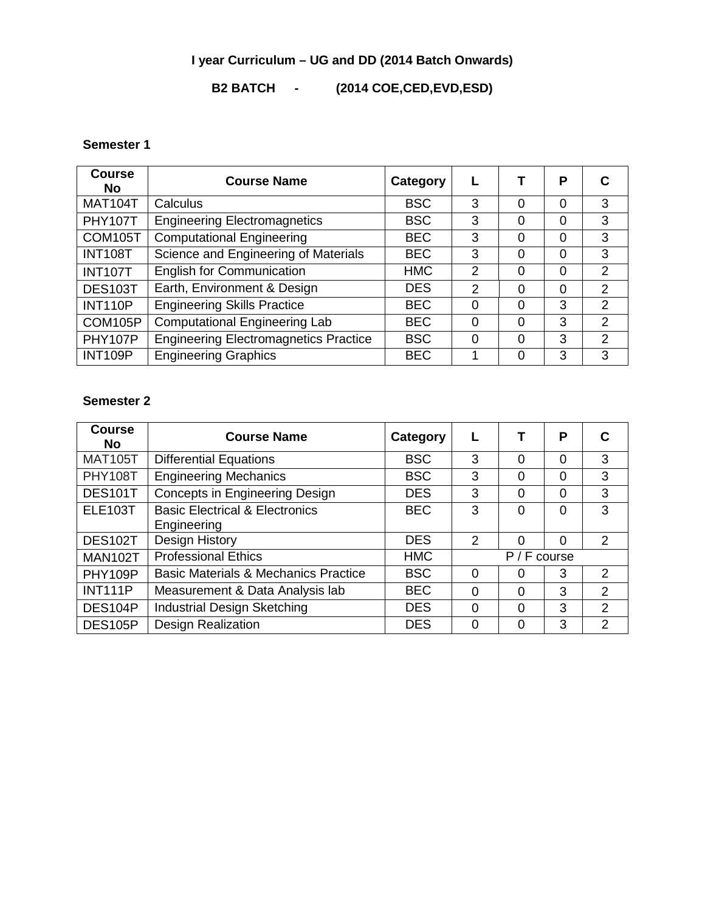#### **I year Curriculum – UG and DD (2014 Batch Onwards)**

#### **B2 BATCH - (2014 COE,CED,EVD,ESD)**

#### **Semester 1**

| <b>Course</b><br><b>No</b> | <b>Course Name</b>                           | Category   |               |   | Р        | C              |
|----------------------------|----------------------------------------------|------------|---------------|---|----------|----------------|
| <b>MAT104T</b>             | Calculus                                     | <b>BSC</b> | 3             | 0 | $\Omega$ | 3              |
| <b>PHY107T</b>             | <b>Engineering Electromagnetics</b>          | <b>BSC</b> | 3             | 0 | $\Omega$ | 3              |
| COM105T                    | <b>Computational Engineering</b>             | <b>BEC</b> | 3             | 0 | $\Omega$ | 3              |
| <b>INT108T</b>             | Science and Engineering of Materials         | <b>BEC</b> | 3             | 0 | $\Omega$ | 3              |
| <b>INT107T</b>             | <b>English for Communication</b>             | <b>HMC</b> | $\mathcal{P}$ | 0 | $\Omega$ | 2              |
| <b>DES103T</b>             | Earth, Environment & Design                  | <b>DES</b> | $\mathcal{P}$ | 0 | $\Omega$ | 2              |
| <b>INT110P</b>             | <b>Engineering Skills Practice</b>           | <b>BEC</b> | $\Omega$      | 0 | 3        | $\overline{2}$ |
| COM105P                    | Computational Engineering Lab                | <b>BEC</b> | $\Omega$      | 0 | 3        | 2              |
| PHY107P                    | <b>Engineering Electromagnetics Practice</b> | <b>BSC</b> | $\Omega$      | 0 | 3        | 2              |
| <b>INT109P</b>             | <b>Engineering Graphics</b>                  | <b>BEC</b> |               | 0 | 3        | 3              |

#### **Semester 2**

| <b>Course</b><br><b>No</b> | <b>Course Name</b>                              | Category   |                |          | P        | C              |
|----------------------------|-------------------------------------------------|------------|----------------|----------|----------|----------------|
| <b>MAT105T</b>             | <b>Differential Equations</b>                   | <b>BSC</b> | 3              | $\Omega$ | $\Omega$ | 3              |
| <b>PHY108T</b>             | <b>Engineering Mechanics</b>                    | <b>BSC</b> | 3              | 0        | $\Omega$ | 3              |
| <b>DES101T</b>             | <b>Concepts in Engineering Design</b>           | <b>DES</b> | 3              | $\Omega$ | $\Omega$ | 3              |
| <b>ELE103T</b>             | <b>Basic Electrical &amp; Electronics</b>       | <b>BEC</b> | 3              | $\Omega$ | 0        | 3              |
|                            | Engineering                                     |            |                |          |          |                |
| DES102T                    | <b>Design History</b>                           | <b>DES</b> | 2              | $\Omega$ | $\Omega$ | 2              |
| MAN102T                    | <b>Professional Ethics</b>                      | <b>HMC</b> | $P / F$ course |          |          |                |
| PHY109P                    | <b>Basic Materials &amp; Mechanics Practice</b> | <b>BSC</b> | 0              | O        | 3        | $\overline{2}$ |
| <b>INT111P</b>             | Measurement & Data Analysis lab                 | <b>BEC</b> | $\Omega$       | $\Omega$ | 3        | 2              |
| DES104P                    | Industrial Design Sketching                     | <b>DES</b> | $\Omega$       | $\Omega$ | 3        | 2              |
| DES105P                    | <b>Design Realization</b>                       | <b>DES</b> | 0              | ი        | 3        | $\overline{2}$ |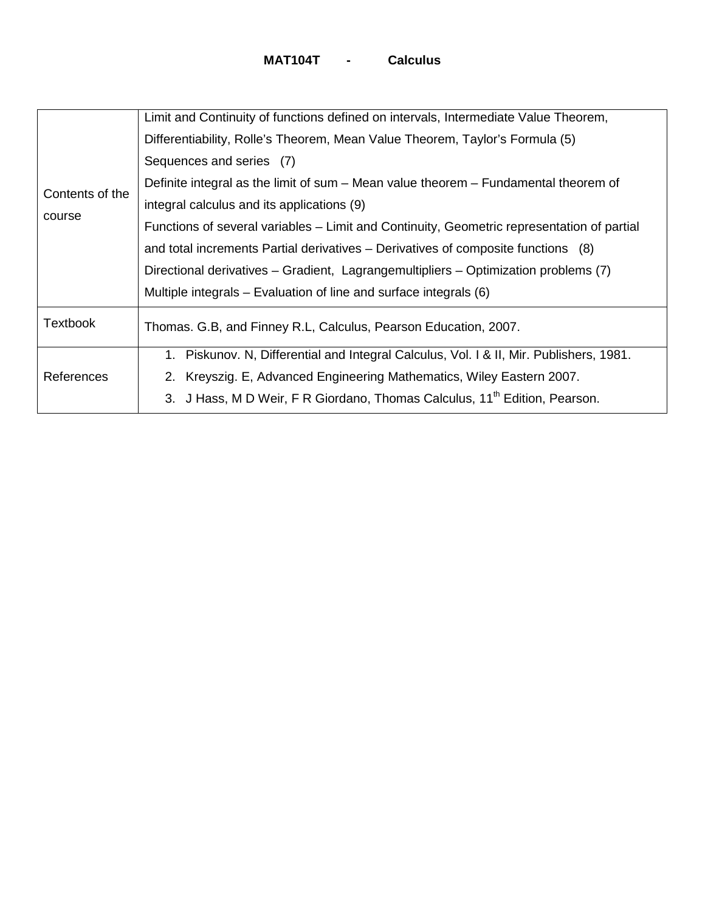|                 | Limit and Continuity of functions defined on intervals, Intermediate Value Theorem,        |
|-----------------|--------------------------------------------------------------------------------------------|
|                 | Differentiability, Rolle's Theorem, Mean Value Theorem, Taylor's Formula (5)               |
|                 | Sequences and series (7)                                                                   |
|                 | Definite integral as the limit of sum – Mean value theorem – Fundamental theorem of        |
| Contents of the | integral calculus and its applications (9)                                                 |
| course          | Functions of several variables – Limit and Continuity, Geometric representation of partial |
|                 | and total increments Partial derivatives – Derivatives of composite functions (8)          |
|                 | Directional derivatives – Gradient, Lagrangemultipliers – Optimization problems (7)        |
|                 | Multiple integrals – Evaluation of line and surface integrals (6)                          |
| <b>Textbook</b> | Thomas. G.B, and Finney R.L, Calculus, Pearson Education, 2007.                            |
| References      | 1. Piskunov. N, Differential and Integral Calculus, Vol. 1 & II, Mir. Publishers, 1981.    |
|                 | 2. Kreyszig. E, Advanced Engineering Mathematics, Wiley Eastern 2007.                      |
|                 | 3. J Hass, M D Weir, F R Giordano, Thomas Calculus, 11 <sup>th</sup> Edition, Pearson.     |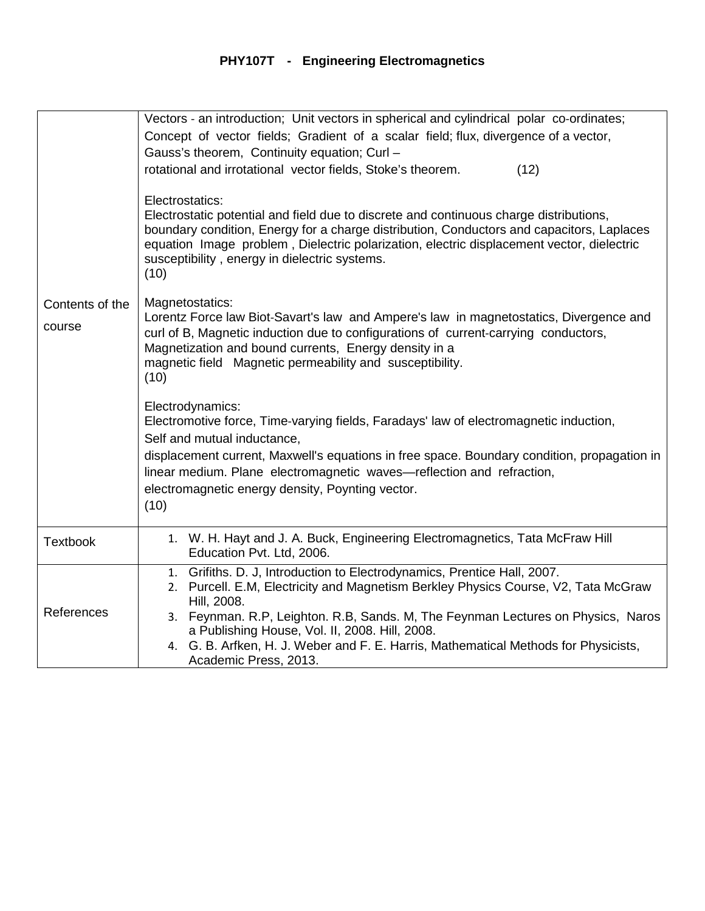# **PHY107T - Engineering Electromagnetics**

|                 | Vectors - an introduction; Unit vectors in spherical and cylindrical polar co-ordinates;                                                                                                                                                                                                                                                                     |
|-----------------|--------------------------------------------------------------------------------------------------------------------------------------------------------------------------------------------------------------------------------------------------------------------------------------------------------------------------------------------------------------|
|                 | Concept of vector fields; Gradient of a scalar field; flux, divergence of a vector,                                                                                                                                                                                                                                                                          |
|                 | Gauss's theorem, Continuity equation; Curl -                                                                                                                                                                                                                                                                                                                 |
|                 | rotational and irrotational vector fields, Stoke's theorem.<br>(12)                                                                                                                                                                                                                                                                                          |
|                 | Electrostatics:<br>Electrostatic potential and field due to discrete and continuous charge distributions,<br>boundary condition, Energy for a charge distribution, Conductors and capacitors, Laplaces<br>equation Image problem, Dielectric polarization, electric displacement vector, dielectric<br>susceptibility, energy in dielectric systems.<br>(10) |
| Contents of the | Magnetostatics:                                                                                                                                                                                                                                                                                                                                              |
| course          | Lorentz Force law Biot-Savart's law and Ampere's law in magnetostatics, Divergence and<br>curl of B, Magnetic induction due to configurations of current-carrying conductors,<br>Magnetization and bound currents, Energy density in a<br>magnetic field Magnetic permeability and susceptibility.<br>(10)                                                   |
|                 | Electrodynamics:                                                                                                                                                                                                                                                                                                                                             |
|                 | Electromotive force, Time-varying fields, Faradays' law of electromagnetic induction,                                                                                                                                                                                                                                                                        |
|                 | Self and mutual inductance,<br>displacement current, Maxwell's equations in free space. Boundary condition, propagation in                                                                                                                                                                                                                                   |
|                 | linear medium. Plane electromagnetic waves-reflection and refraction,                                                                                                                                                                                                                                                                                        |
|                 | electromagnetic energy density, Poynting vector.                                                                                                                                                                                                                                                                                                             |
|                 | (10)                                                                                                                                                                                                                                                                                                                                                         |
|                 |                                                                                                                                                                                                                                                                                                                                                              |
| <b>Textbook</b> | 1. W. H. Hayt and J. A. Buck, Engineering Electromagnetics, Tata McFraw Hill<br>Education Pvt. Ltd, 2006.                                                                                                                                                                                                                                                    |
|                 | Grifiths. D. J, Introduction to Electrodynamics, Prentice Hall, 2007.<br>1.                                                                                                                                                                                                                                                                                  |
|                 | Purcell. E.M, Electricity and Magnetism Berkley Physics Course, V2, Tata McGraw<br>2.                                                                                                                                                                                                                                                                        |
| References      | Hill, 2008.<br>3. Feynman. R.P, Leighton. R.B, Sands. M, The Feynman Lectures on Physics, Naros                                                                                                                                                                                                                                                              |
|                 | a Publishing House, Vol. II, 2008. Hill, 2008.                                                                                                                                                                                                                                                                                                               |
|                 | 4. G. B. Arfken, H. J. Weber and F. E. Harris, Mathematical Methods for Physicists,                                                                                                                                                                                                                                                                          |
|                 | Academic Press, 2013.                                                                                                                                                                                                                                                                                                                                        |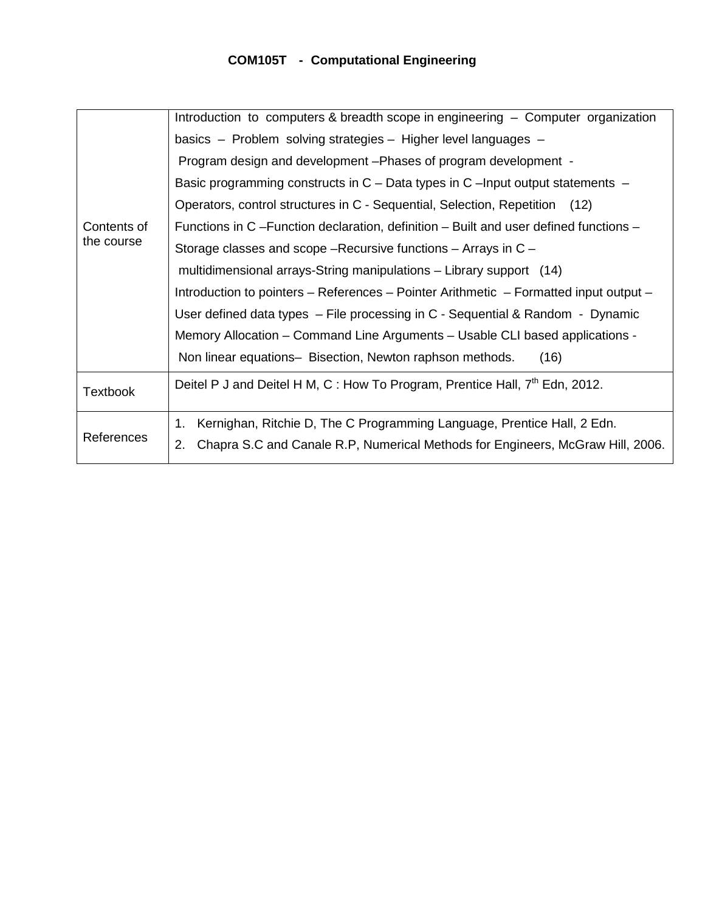## **COM105T - Computational Engineering**

|                 | Introduction to computers & breadth scope in engineering - Computer organization         |  |  |  |
|-----------------|------------------------------------------------------------------------------------------|--|--|--|
|                 | basics - Problem solving strategies - Higher level languages -                           |  |  |  |
|                 | Program design and development - Phases of program development -                         |  |  |  |
|                 | Basic programming constructs in $C$ – Data types in $C$ –Input output statements –       |  |  |  |
|                 | Operators, control structures in C - Sequential, Selection, Repetition (12)              |  |  |  |
| Contents of     | Functions in C –Function declaration, definition – Built and user defined functions –    |  |  |  |
| the course      | Storage classes and scope – Recursive functions – Arrays in C –                          |  |  |  |
|                 | multidimensional arrays-String manipulations – Library support (14)                      |  |  |  |
|                 | Introduction to pointers – References – Pointer Arithmetic – Formatted input output –    |  |  |  |
|                 | User defined data types $-$ File processing in C - Sequential & Random - Dynamic         |  |  |  |
|                 | Memory Allocation - Command Line Arguments - Usable CLI based applications -             |  |  |  |
|                 | Non linear equations- Bisection, Newton raphson methods.<br>(16)                         |  |  |  |
| <b>Textbook</b> | Deitel P J and Deitel H M, C : How To Program, Prentice Hall, 7 <sup>th</sup> Edn, 2012. |  |  |  |
| References      | Kernighan, Ritchie D, The C Programming Language, Prentice Hall, 2 Edn.<br>1.            |  |  |  |
|                 | Chapra S.C and Canale R.P, Numerical Methods for Engineers, McGraw Hill, 2006.<br>2.     |  |  |  |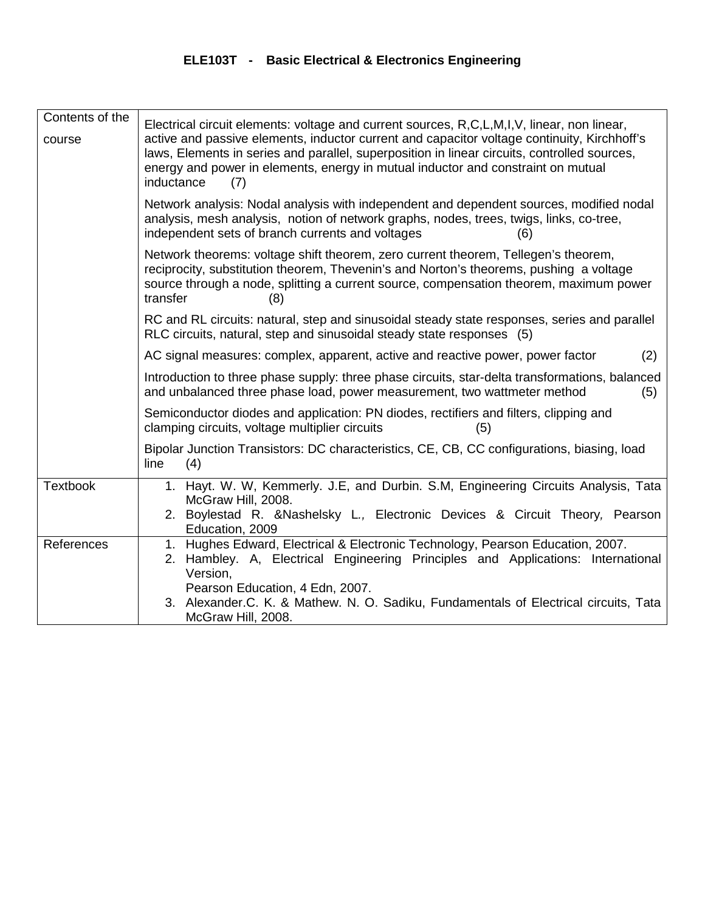## **ELE103T - Basic Electrical & Electronics Engineering**

| Contents of the<br>course | Electrical circuit elements: voltage and current sources, R,C,L,M,I,V, linear, non linear,<br>active and passive elements, inductor current and capacitor voltage continuity, Kirchhoff's<br>laws, Elements in series and parallel, superposition in linear circuits, controlled sources,<br>energy and power in elements, energy in mutual inductor and constraint on mutual<br>inductance<br>(7) |
|---------------------------|----------------------------------------------------------------------------------------------------------------------------------------------------------------------------------------------------------------------------------------------------------------------------------------------------------------------------------------------------------------------------------------------------|
|                           | Network analysis: Nodal analysis with independent and dependent sources, modified nodal<br>analysis, mesh analysis, notion of network graphs, nodes, trees, twigs, links, co-tree,<br>independent sets of branch currents and voltages<br>(6)                                                                                                                                                      |
|                           | Network theorems: voltage shift theorem, zero current theorem, Tellegen's theorem,<br>reciprocity, substitution theorem, Thevenin's and Norton's theorems, pushing a voltage<br>source through a node, splitting a current source, compensation theorem, maximum power<br>transfer<br>(8)                                                                                                          |
|                           | RC and RL circuits: natural, step and sinusoidal steady state responses, series and parallel<br>RLC circuits, natural, step and sinusoidal steady state responses (5)                                                                                                                                                                                                                              |
|                           | AC signal measures: complex, apparent, active and reactive power, power factor<br>(2)                                                                                                                                                                                                                                                                                                              |
|                           | Introduction to three phase supply: three phase circuits, star-delta transformations, balanced<br>and unbalanced three phase load, power measurement, two wattmeter method<br>(5)                                                                                                                                                                                                                  |
|                           | Semiconductor diodes and application: PN diodes, rectifiers and filters, clipping and<br>clamping circuits, voltage multiplier circuits<br>(5)                                                                                                                                                                                                                                                     |
|                           | Bipolar Junction Transistors: DC characteristics, CE, CB, CC configurations, biasing, load<br>line<br>(4)                                                                                                                                                                                                                                                                                          |
| <b>Textbook</b>           | 1. Hayt. W. W, Kemmerly. J.E, and Durbin. S.M, Engineering Circuits Analysis, Tata<br>McGraw Hill, 2008.<br>2. Boylestad R. & Nashelsky L., Electronic Devices & Circuit Theory, Pearson<br>Education, 2009                                                                                                                                                                                        |
| References                | 1. Hughes Edward, Electrical & Electronic Technology, Pearson Education, 2007.<br>Hambley. A, Electrical Engineering Principles and Applications: International<br>2.<br>Version,<br>Pearson Education, 4 Edn, 2007.                                                                                                                                                                               |
|                           | 3. Alexander.C. K. & Mathew. N. O. Sadiku, Fundamentals of Electrical circuits, Tata<br>McGraw Hill, 2008.                                                                                                                                                                                                                                                                                         |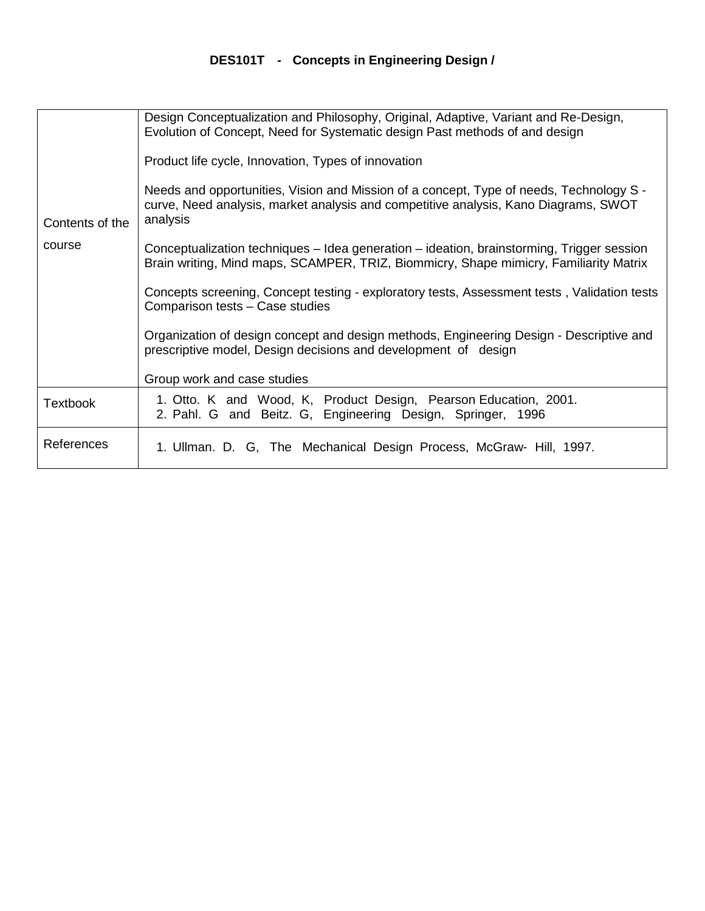## **DES101T - Concepts in Engineering Design /**

|                           | Design Conceptualization and Philosophy, Original, Adaptive, Variant and Re-Design,<br>Evolution of Concept, Need for Systematic design Past methods of and design                         |
|---------------------------|--------------------------------------------------------------------------------------------------------------------------------------------------------------------------------------------|
|                           | Product life cycle, Innovation, Types of innovation                                                                                                                                        |
| Contents of the<br>course | Needs and opportunities, Vision and Mission of a concept, Type of needs, Technology S -<br>curve, Need analysis, market analysis and competitive analysis, Kano Diagrams, SWOT<br>analysis |
|                           | Conceptualization techniques – Idea generation – ideation, brainstorming, Trigger session<br>Brain writing, Mind maps, SCAMPER, TRIZ, Biommicry, Shape mimicry, Familiarity Matrix         |
|                           | Concepts screening, Concept testing - exploratory tests, Assessment tests, Validation tests<br>Comparison tests - Case studies                                                             |
|                           | Organization of design concept and design methods, Engineering Design - Descriptive and<br>prescriptive model, Design decisions and development of design                                  |
|                           | Group work and case studies                                                                                                                                                                |
| Textbook                  | 1. Otto. K and Wood, K, Product Design, Pearson Education, 2001.<br>2. Pahl. G and Beitz. G, Engineering Design, Springer, 1996                                                            |
| References                | 1. Ullman. D. G, The Mechanical Design Process, McGraw- Hill, 1997.                                                                                                                        |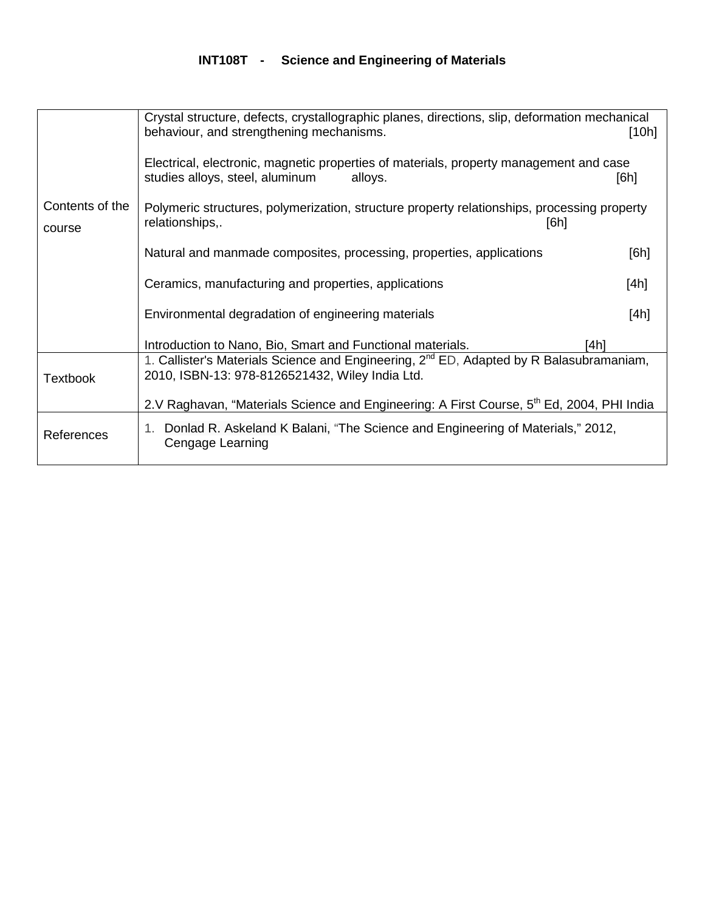## **INT108T - Science and Engineering of Materials**

|                           | Crystal structure, defects, crystallographic planes, directions, slip, deformation mechanical<br>behaviour, and strengthening mechanisms.              | [10h] |
|---------------------------|--------------------------------------------------------------------------------------------------------------------------------------------------------|-------|
|                           | Electrical, electronic, magnetic properties of materials, property management and case<br>studies alloys, steel, aluminum<br>alloys.                   | [6h]  |
| Contents of the<br>course | Polymeric structures, polymerization, structure property relationships, processing property<br>relationships,.<br>[6h]                                 |       |
|                           | Natural and manmade composites, processing, properties, applications                                                                                   | [6h]  |
|                           | Ceramics, manufacturing and properties, applications                                                                                                   | [4h]  |
|                           | Environmental degradation of engineering materials                                                                                                     | [4h]  |
|                           | Introduction to Nano, Bio, Smart and Functional materials.<br>[4h]                                                                                     |       |
| <b>Textbook</b>           | 1. Callister's Materials Science and Engineering, 2 <sup>nd</sup> ED, Adapted by R Balasubramaniam,<br>2010, ISBN-13: 978-8126521432, Wiley India Ltd. |       |
|                           | 2.V Raghavan, "Materials Science and Engineering: A First Course, 5 <sup>th</sup> Ed, 2004, PHI India                                                  |       |
| References                | 1. Donlad R. Askeland K Balani, "The Science and Engineering of Materials," 2012,<br>Cengage Learning                                                  |       |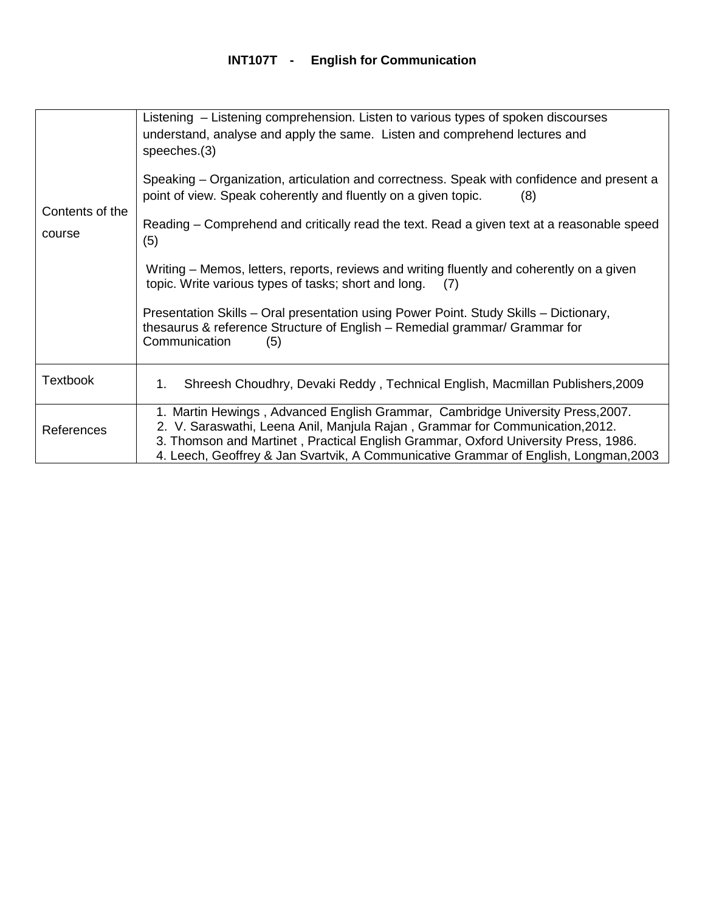| Contents of the<br>course | Listening – Listening comprehension. Listen to various types of spoken discourses<br>understand, analyse and apply the same. Listen and comprehend lectures and<br>speeches.(3)<br>Speaking – Organization, articulation and correctness. Speak with confidence and present a<br>point of view. Speak coherently and fluently on a given topic.<br>(8)<br>Reading – Comprehend and critically read the text. Read a given text at a reasonable speed<br>(5)<br>Writing – Memos, letters, reports, reviews and writing fluently and coherently on a given<br>topic. Write various types of tasks; short and long.<br>(7)<br>Presentation Skills – Oral presentation using Power Point. Study Skills – Dictionary,<br>thesaurus & reference Structure of English - Remedial grammar/ Grammar for<br>Communication<br>(5) |
|---------------------------|------------------------------------------------------------------------------------------------------------------------------------------------------------------------------------------------------------------------------------------------------------------------------------------------------------------------------------------------------------------------------------------------------------------------------------------------------------------------------------------------------------------------------------------------------------------------------------------------------------------------------------------------------------------------------------------------------------------------------------------------------------------------------------------------------------------------|
| <b>Textbook</b>           | Shreesh Choudhry, Devaki Reddy, Technical English, Macmillan Publishers, 2009<br>1.                                                                                                                                                                                                                                                                                                                                                                                                                                                                                                                                                                                                                                                                                                                                    |
| References                | 1. Martin Hewings, Advanced English Grammar, Cambridge University Press, 2007.<br>2. V. Saraswathi, Leena Anil, Manjula Rajan, Grammar for Communication, 2012.<br>3. Thomson and Martinet, Practical English Grammar, Oxford University Press, 1986.<br>4. Leech, Geoffrey & Jan Svartvik, A Communicative Grammar of English, Longman, 2003                                                                                                                                                                                                                                                                                                                                                                                                                                                                          |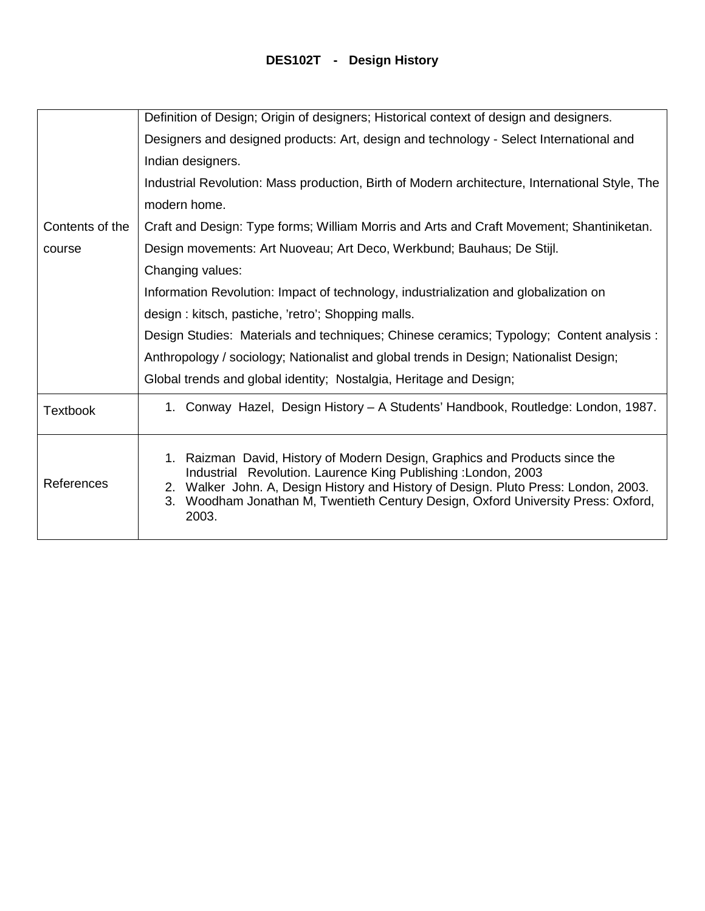## **DES102T - Design History**

|                 | Definition of Design; Origin of designers; Historical context of design and designers.                                                                                                                                                                                                                                               |
|-----------------|--------------------------------------------------------------------------------------------------------------------------------------------------------------------------------------------------------------------------------------------------------------------------------------------------------------------------------------|
|                 | Designers and designed products: Art, design and technology - Select International and                                                                                                                                                                                                                                               |
|                 | Indian designers.                                                                                                                                                                                                                                                                                                                    |
|                 | Industrial Revolution: Mass production, Birth of Modern architecture, International Style, The                                                                                                                                                                                                                                       |
|                 | modern home.                                                                                                                                                                                                                                                                                                                         |
| Contents of the | Craft and Design: Type forms; William Morris and Arts and Craft Movement; Shantiniketan.                                                                                                                                                                                                                                             |
| course          | Design movements: Art Nuoveau; Art Deco, Werkbund; Bauhaus; De Stijl.                                                                                                                                                                                                                                                                |
|                 | Changing values:                                                                                                                                                                                                                                                                                                                     |
|                 | Information Revolution: Impact of technology, industrialization and globalization on                                                                                                                                                                                                                                                 |
|                 | design: kitsch, pastiche, 'retro'; Shopping malls.                                                                                                                                                                                                                                                                                   |
|                 | Design Studies: Materials and techniques; Chinese ceramics; Typology; Content analysis :                                                                                                                                                                                                                                             |
|                 | Anthropology / sociology; Nationalist and global trends in Design; Nationalist Design;                                                                                                                                                                                                                                               |
|                 | Global trends and global identity; Nostalgia, Heritage and Design;                                                                                                                                                                                                                                                                   |
| <b>Textbook</b> | 1. Conway Hazel, Design History - A Students' Handbook, Routledge: London, 1987.                                                                                                                                                                                                                                                     |
| References      | 1. Raizman David, History of Modern Design, Graphics and Products since the<br>Industrial Revolution. Laurence King Publishing: London, 2003<br>2. Walker John. A, Design History and History of Design. Pluto Press: London, 2003.<br>Woodham Jonathan M, Twentieth Century Design, Oxford University Press: Oxford,<br>3.<br>2003. |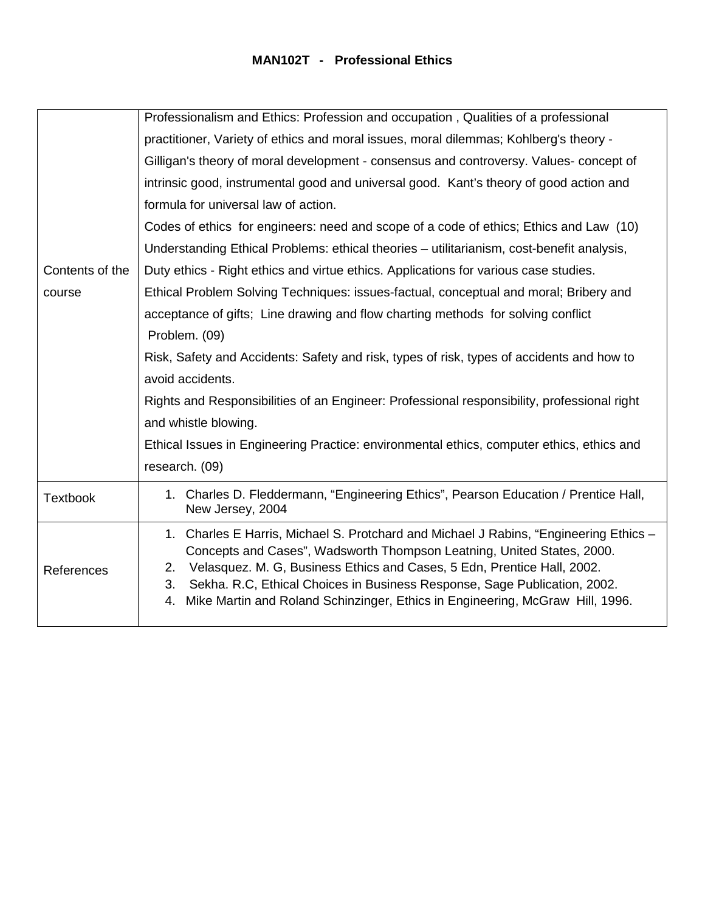#### **MAN102T - Professional Ethics**

|                 | Professionalism and Ethics: Profession and occupation, Qualities of a professional                                                                                                                                                                                                                                                                                                                                         |
|-----------------|----------------------------------------------------------------------------------------------------------------------------------------------------------------------------------------------------------------------------------------------------------------------------------------------------------------------------------------------------------------------------------------------------------------------------|
|                 | practitioner, Variety of ethics and moral issues, moral dilemmas; Kohlberg's theory -                                                                                                                                                                                                                                                                                                                                      |
|                 | Gilligan's theory of moral development - consensus and controversy. Values-concept of                                                                                                                                                                                                                                                                                                                                      |
|                 | intrinsic good, instrumental good and universal good. Kant's theory of good action and                                                                                                                                                                                                                                                                                                                                     |
|                 | formula for universal law of action.                                                                                                                                                                                                                                                                                                                                                                                       |
|                 | Codes of ethics for engineers: need and scope of a code of ethics; Ethics and Law (10)                                                                                                                                                                                                                                                                                                                                     |
|                 | Understanding Ethical Problems: ethical theories - utilitarianism, cost-benefit analysis,                                                                                                                                                                                                                                                                                                                                  |
| Contents of the | Duty ethics - Right ethics and virtue ethics. Applications for various case studies.                                                                                                                                                                                                                                                                                                                                       |
| course          | Ethical Problem Solving Techniques: issues-factual, conceptual and moral; Bribery and                                                                                                                                                                                                                                                                                                                                      |
|                 | acceptance of gifts; Line drawing and flow charting methods for solving conflict                                                                                                                                                                                                                                                                                                                                           |
|                 | Problem. (09)                                                                                                                                                                                                                                                                                                                                                                                                              |
|                 | Risk, Safety and Accidents: Safety and risk, types of risk, types of accidents and how to                                                                                                                                                                                                                                                                                                                                  |
|                 | avoid accidents.                                                                                                                                                                                                                                                                                                                                                                                                           |
|                 | Rights and Responsibilities of an Engineer: Professional responsibility, professional right                                                                                                                                                                                                                                                                                                                                |
|                 | and whistle blowing.                                                                                                                                                                                                                                                                                                                                                                                                       |
|                 | Ethical Issues in Engineering Practice: environmental ethics, computer ethics, ethics and                                                                                                                                                                                                                                                                                                                                  |
|                 | research. (09)                                                                                                                                                                                                                                                                                                                                                                                                             |
| <b>Textbook</b> | 1. Charles D. Fleddermann, "Engineering Ethics", Pearson Education / Prentice Hall,<br>New Jersey, 2004                                                                                                                                                                                                                                                                                                                    |
| References      | 1. Charles E Harris, Michael S. Protchard and Michael J Rabins, "Engineering Ethics -<br>Concepts and Cases", Wadsworth Thompson Leatning, United States, 2000.<br>Velasquez. M. G, Business Ethics and Cases, 5 Edn, Prentice Hall, 2002.<br>2.<br>Sekha. R.C, Ethical Choices in Business Response, Sage Publication, 2002.<br>3.<br>Mike Martin and Roland Schinzinger, Ethics in Engineering, McGraw Hill, 1996.<br>4. |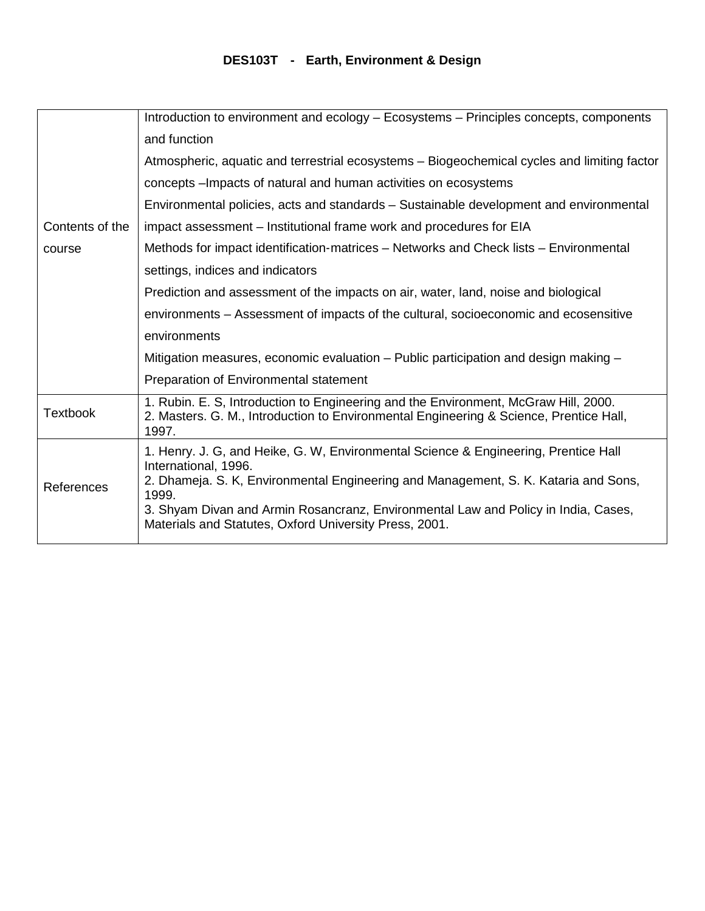## **DES103T - Earth, Environment & Design**

|                 | Introduction to environment and ecology – Ecosystems – Principles concepts, components                                                                                                                                                                                                                                                                      |
|-----------------|-------------------------------------------------------------------------------------------------------------------------------------------------------------------------------------------------------------------------------------------------------------------------------------------------------------------------------------------------------------|
|                 | and function                                                                                                                                                                                                                                                                                                                                                |
|                 | Atmospheric, aquatic and terrestrial ecosystems – Biogeochemical cycles and limiting factor                                                                                                                                                                                                                                                                 |
|                 | concepts - Impacts of natural and human activities on ecosystems                                                                                                                                                                                                                                                                                            |
|                 | Environmental policies, acts and standards - Sustainable development and environmental                                                                                                                                                                                                                                                                      |
| Contents of the | impact assessment - Institutional frame work and procedures for EIA                                                                                                                                                                                                                                                                                         |
| course          | Methods for impact identification-matrices - Networks and Check lists - Environmental                                                                                                                                                                                                                                                                       |
|                 | settings, indices and indicators                                                                                                                                                                                                                                                                                                                            |
|                 | Prediction and assessment of the impacts on air, water, land, noise and biological                                                                                                                                                                                                                                                                          |
|                 | environments – Assessment of impacts of the cultural, socioeconomic and ecosensitive                                                                                                                                                                                                                                                                        |
|                 | environments                                                                                                                                                                                                                                                                                                                                                |
|                 | Mitigation measures, economic evaluation – Public participation and design making –                                                                                                                                                                                                                                                                         |
|                 | Preparation of Environmental statement                                                                                                                                                                                                                                                                                                                      |
| <b>Textbook</b> | 1. Rubin. E. S, Introduction to Engineering and the Environment, McGraw Hill, 2000.<br>2. Masters. G. M., Introduction to Environmental Engineering & Science, Prentice Hall,<br>1997.                                                                                                                                                                      |
| References      | 1. Henry. J. G, and Heike, G. W, Environmental Science & Engineering, Prentice Hall<br>International, 1996.<br>2. Dhameja. S. K, Environmental Engineering and Management, S. K. Kataria and Sons,<br>1999.<br>3. Shyam Divan and Armin Rosancranz, Environmental Law and Policy in India, Cases,<br>Materials and Statutes, Oxford University Press, 2001. |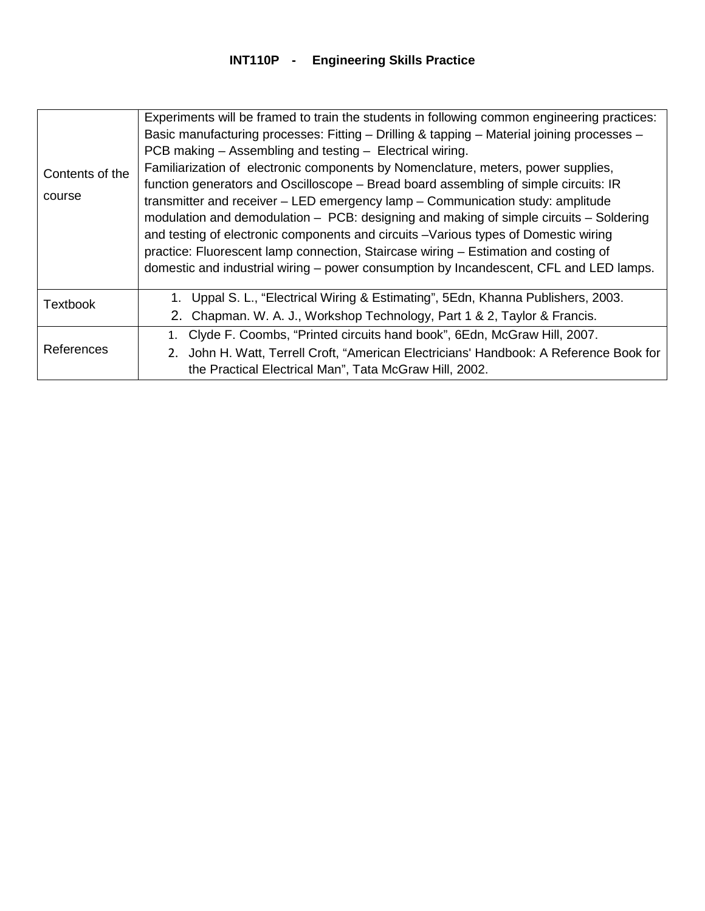## **INT110P - Engineering Skills Practice**

| Contents of the<br>course | Experiments will be framed to train the students in following common engineering practices:<br>Basic manufacturing processes: Fitting - Drilling & tapping - Material joining processes -<br>PCB making – Assembling and testing – Electrical wiring.<br>Familiarization of electronic components by Nomenclature, meters, power supplies,<br>function generators and Oscilloscope - Bread board assembling of simple circuits: IR<br>transmitter and receiver – LED emergency lamp – Communication study: amplitude<br>modulation and demodulation - PCB: designing and making of simple circuits - Soldering<br>and testing of electronic components and circuits - Various types of Domestic wiring<br>practice: Fluorescent lamp connection, Staircase wiring - Estimation and costing of<br>domestic and industrial wiring – power consumption by Incandescent, CFL and LED lamps. |
|---------------------------|-----------------------------------------------------------------------------------------------------------------------------------------------------------------------------------------------------------------------------------------------------------------------------------------------------------------------------------------------------------------------------------------------------------------------------------------------------------------------------------------------------------------------------------------------------------------------------------------------------------------------------------------------------------------------------------------------------------------------------------------------------------------------------------------------------------------------------------------------------------------------------------------|
| <b>Textbook</b>           | 1. Uppal S. L., "Electrical Wiring & Estimating", 5Edn, Khanna Publishers, 2003.<br>2. Chapman. W. A. J., Workshop Technology, Part 1 & 2, Taylor & Francis.                                                                                                                                                                                                                                                                                                                                                                                                                                                                                                                                                                                                                                                                                                                            |
| References                | Clyde F. Coombs, "Printed circuits hand book", 6Edn, McGraw Hill, 2007.<br>1.<br>John H. Watt, Terrell Croft, "American Electricians' Handbook: A Reference Book for<br>2.<br>the Practical Electrical Man", Tata McGraw Hill, 2002.                                                                                                                                                                                                                                                                                                                                                                                                                                                                                                                                                                                                                                                    |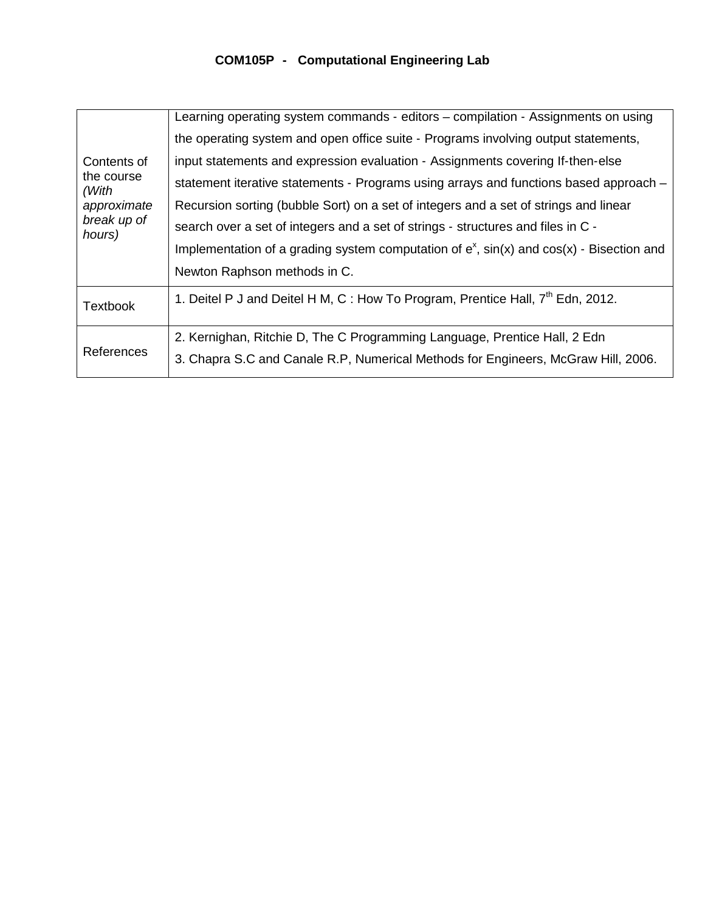## **COM105P - Computational Engineering Lab**

|                                    | Learning operating system commands - editors – compilation - Assignments on using               |
|------------------------------------|-------------------------------------------------------------------------------------------------|
| Contents of<br>the course<br>(With | the operating system and open office suite - Programs involving output statements,              |
|                                    | input statements and expression evaluation - Assignments covering If-then-else                  |
|                                    | statement iterative statements - Programs using arrays and functions based approach -           |
| approximate                        | Recursion sorting (bubble Sort) on a set of integers and a set of strings and linear            |
| break up of<br>hours)              | search over a set of integers and a set of strings - structures and files in C -                |
|                                    | Implementation of a grading system computation of $e^x$ , $sin(x)$ and $cos(x)$ - Bisection and |
|                                    | Newton Raphson methods in C.                                                                    |
| <b>Textbook</b>                    | 1. Deitel P J and Deitel H M, C : How To Program, Prentice Hall, 7 <sup>th</sup> Edn, 2012.     |
| <b>References</b>                  | 2. Kernighan, Ritchie D, The C Programming Language, Prentice Hall, 2 Edn                       |
|                                    | 3. Chapra S.C and Canale R.P. Numerical Methods for Engineers, McGraw Hill, 2006.               |
|                                    |                                                                                                 |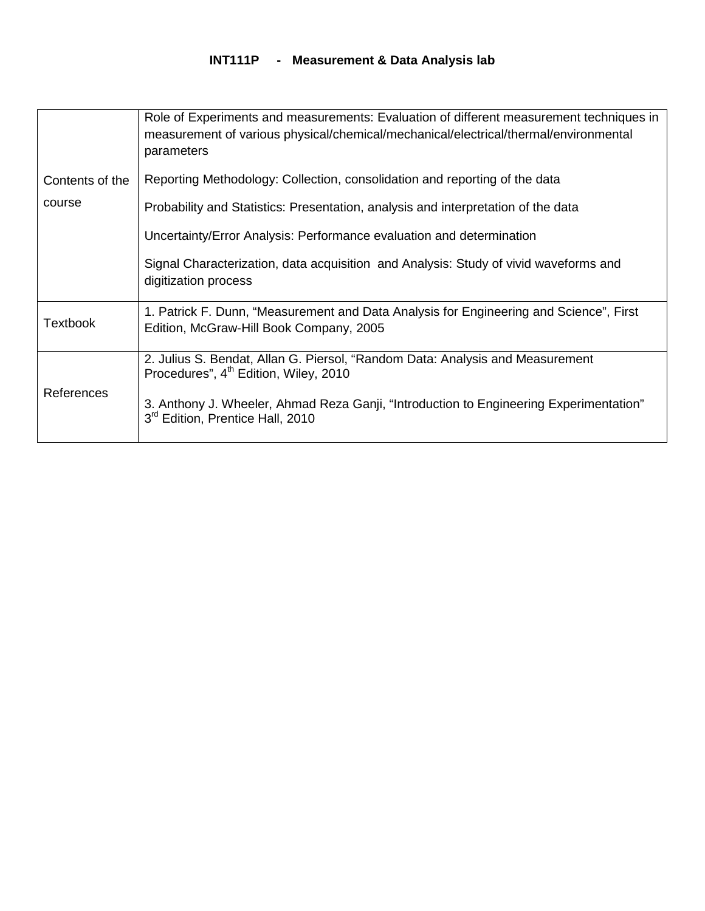#### **INT111P - Measurement & Data Analysis lab**

|                   | Role of Experiments and measurements: Evaluation of different measurement techniques in<br>measurement of various physical/chemical/mechanical/electrical/thermal/environmental<br>parameters |
|-------------------|-----------------------------------------------------------------------------------------------------------------------------------------------------------------------------------------------|
| Contents of the   | Reporting Methodology: Collection, consolidation and reporting of the data                                                                                                                    |
| course            | Probability and Statistics: Presentation, analysis and interpretation of the data                                                                                                             |
|                   | Uncertainty/Error Analysis: Performance evaluation and determination                                                                                                                          |
|                   | Signal Characterization, data acquisition and Analysis: Study of vivid waveforms and<br>digitization process                                                                                  |
| Textbook          | 1. Patrick F. Dunn, "Measurement and Data Analysis for Engineering and Science", First<br>Edition, McGraw-Hill Book Company, 2005                                                             |
| <b>References</b> | 2. Julius S. Bendat, Allan G. Piersol, "Random Data: Analysis and Measurement<br>Procedures", 4 <sup>th</sup> Edition, Wiley, 2010                                                            |
|                   | 3. Anthony J. Wheeler, Ahmad Reza Ganji, "Introduction to Engineering Experimentation"<br>3 <sup>rd</sup> Edition, Prentice Hall, 2010                                                        |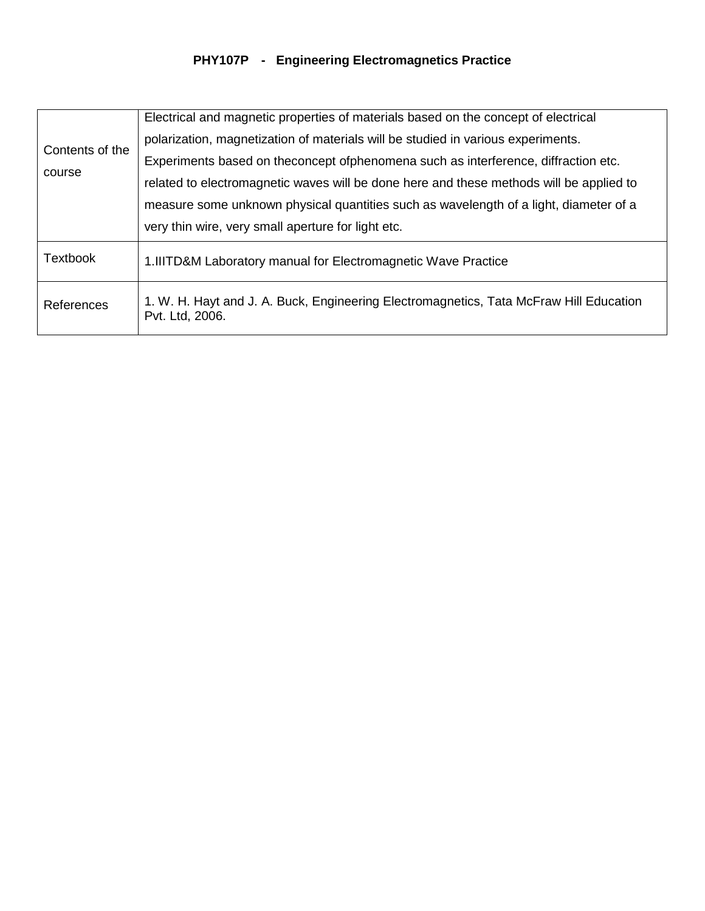## **PHY107P - Engineering Electromagnetics Practice**

| Contents of the<br>course | Electrical and magnetic properties of materials based on the concept of electrical                        |
|---------------------------|-----------------------------------------------------------------------------------------------------------|
|                           | polarization, magnetization of materials will be studied in various experiments.                          |
|                           | Experiments based on theconcept of phenomena such as interference, diffraction etc.                       |
|                           | related to electromagnetic waves will be done here and these methods will be applied to                   |
|                           | measure some unknown physical quantities such as wavelength of a light, diameter of a                     |
|                           | very thin wire, very small aperture for light etc.                                                        |
| <b>Textbook</b>           | 1. IIITD&M Laboratory manual for Electromagnetic Wave Practice                                            |
| References                | 1. W. H. Hayt and J. A. Buck, Engineering Electromagnetics, Tata McFraw Hill Education<br>Pvt. Ltd, 2006. |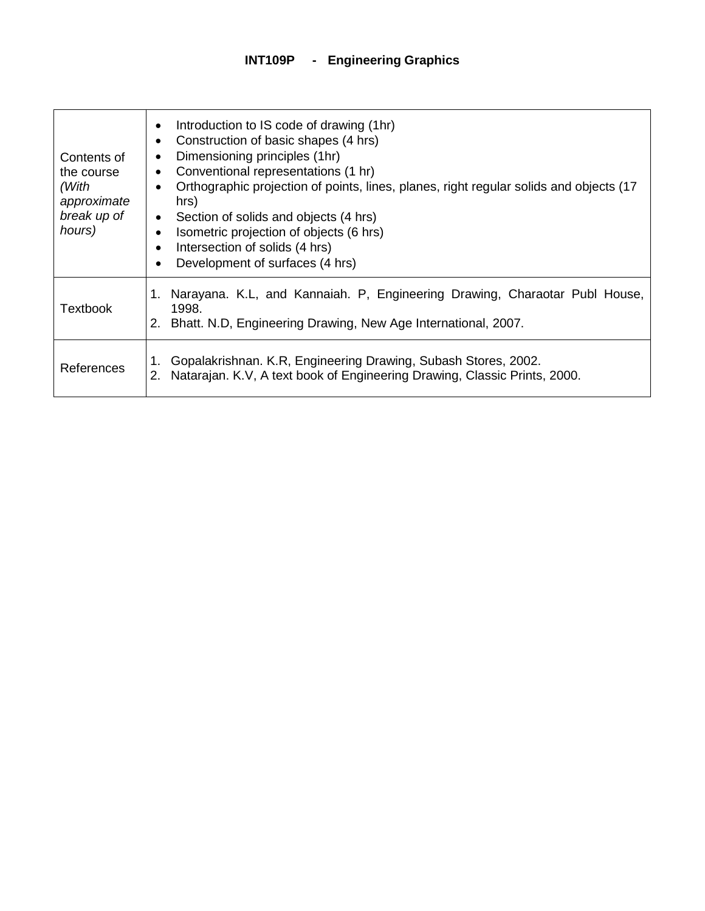| Contents of<br>the course<br>(With<br>approximate<br>break up of<br>hours) | Introduction to IS code of drawing (1hr)<br>$\bullet$<br>Construction of basic shapes (4 hrs)<br>Dimensioning principles (1hr)<br>Conventional representations (1 hr)<br>٠<br>Orthographic projection of points, lines, planes, right regular solids and objects (17<br>hrs)<br>Section of solids and objects (4 hrs)<br>$\bullet$<br>Isometric projection of objects (6 hrs)<br>Intersection of solids (4 hrs)<br>$\bullet$<br>Development of surfaces (4 hrs)<br>$\bullet$ |
|----------------------------------------------------------------------------|------------------------------------------------------------------------------------------------------------------------------------------------------------------------------------------------------------------------------------------------------------------------------------------------------------------------------------------------------------------------------------------------------------------------------------------------------------------------------|
| Textbook                                                                   | Narayana. K.L., and Kannaiah. P. Engineering Drawing, Charaotar Publ House,<br>1.<br>1998.<br>Bhatt. N.D, Engineering Drawing, New Age International, 2007.                                                                                                                                                                                                                                                                                                                  |
| References                                                                 | Gopalakrishnan. K.R, Engineering Drawing, Subash Stores, 2002.<br>Natarajan. K.V, A text book of Engineering Drawing, Classic Prints, 2000.<br>2.                                                                                                                                                                                                                                                                                                                            |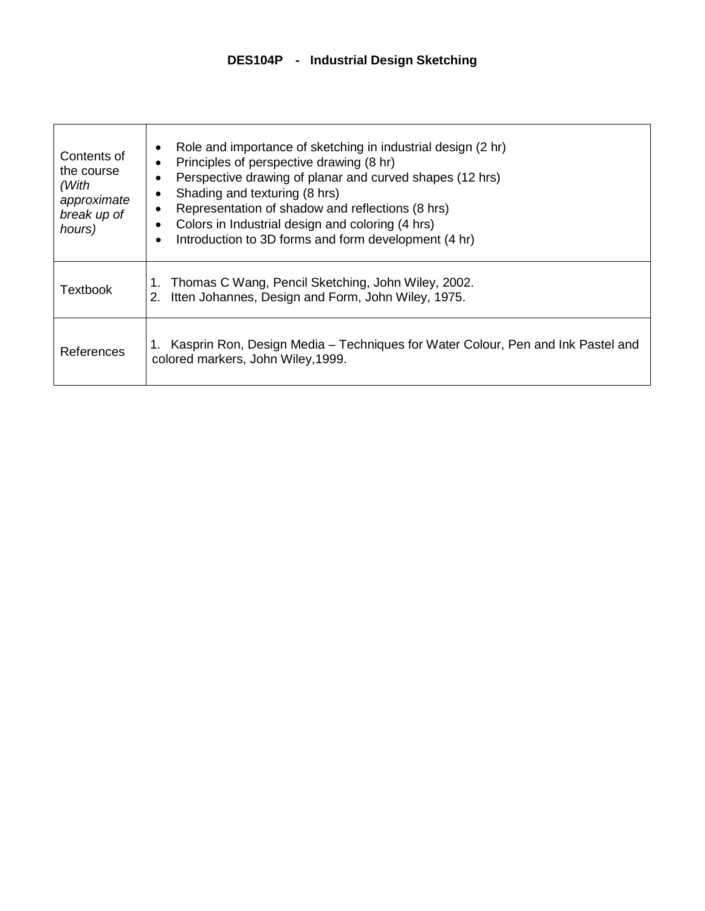| Contents of<br>the course<br>(With<br>approximate<br>break up of<br>hours) | Role and importance of sketching in industrial design (2 hr)<br>Principles of perspective drawing (8 hr)<br>Perspective drawing of planar and curved shapes (12 hrs)<br>Shading and texturing (8 hrs)<br>Representation of shadow and reflections (8 hrs)<br>Colors in Industrial design and coloring (4 hrs)<br>Introduction to 3D forms and form development (4 hr)<br>$\bullet$ |
|----------------------------------------------------------------------------|------------------------------------------------------------------------------------------------------------------------------------------------------------------------------------------------------------------------------------------------------------------------------------------------------------------------------------------------------------------------------------|
| <b>Textbook</b>                                                            | Thomas C Wang, Pencil Sketching, John Wiley, 2002.<br>1.<br>Itten Johannes, Design and Form, John Wiley, 1975.<br>2.                                                                                                                                                                                                                                                               |
| References                                                                 | Kasprin Ron, Design Media – Techniques for Water Colour, Pen and Ink Pastel and<br>colored markers, John Wiley, 1999.                                                                                                                                                                                                                                                              |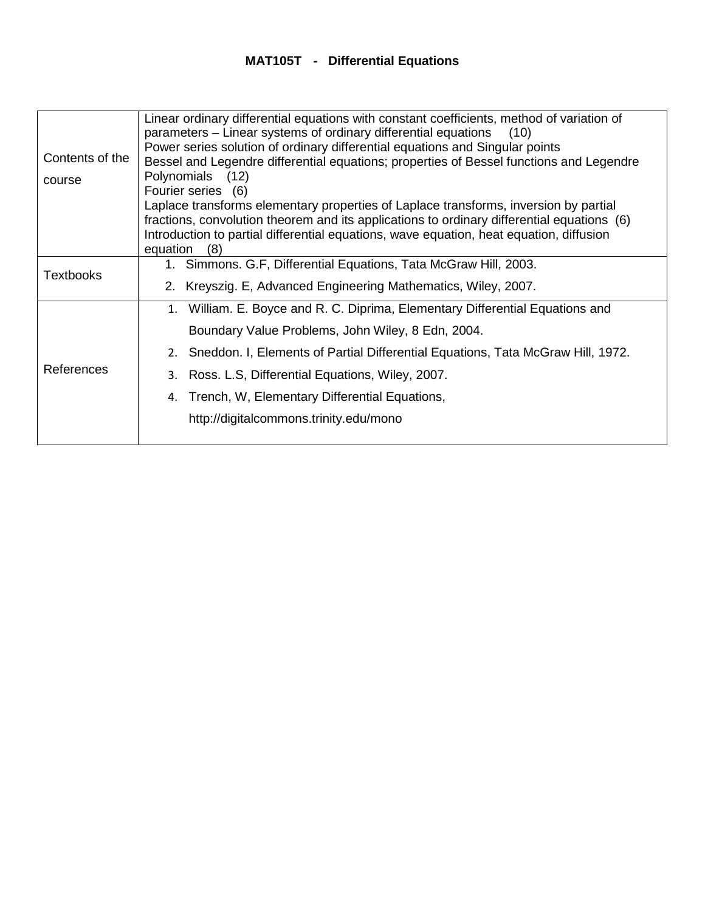## **MAT105T - Differential Equations**

|                  | Linear ordinary differential equations with constant coefficients, method of variation of<br>parameters – Linear systems of ordinary differential equations<br>(10) |
|------------------|---------------------------------------------------------------------------------------------------------------------------------------------------------------------|
|                  | Power series solution of ordinary differential equations and Singular points                                                                                        |
| Contents of the  | Bessel and Legendre differential equations; properties of Bessel functions and Legendre                                                                             |
| course           | Polynomials (12)                                                                                                                                                    |
|                  | Fourier series (6)                                                                                                                                                  |
|                  | Laplace transforms elementary properties of Laplace transforms, inversion by partial                                                                                |
|                  | fractions, convolution theorem and its applications to ordinary differential equations (6)                                                                          |
|                  | Introduction to partial differential equations, wave equation, heat equation, diffusion                                                                             |
|                  | equation<br>(8)                                                                                                                                                     |
| <b>Textbooks</b> | 1. Simmons. G.F, Differential Equations, Tata McGraw Hill, 2003.                                                                                                    |
|                  | 2. Kreyszig. E, Advanced Engineering Mathematics, Wiley, 2007.                                                                                                      |
|                  | 1. William. E. Boyce and R. C. Diprima, Elementary Differential Equations and                                                                                       |
| References       | Boundary Value Problems, John Wiley, 8 Edn, 2004.                                                                                                                   |
|                  | 2. Sneddon. I, Elements of Partial Differential Equations, Tata McGraw Hill, 1972.                                                                                  |
|                  | 3. Ross. L.S, Differential Equations, Wiley, 2007.                                                                                                                  |
|                  | 4. Trench, W, Elementary Differential Equations,                                                                                                                    |
|                  | http://digitalcommons.trinity.edu/mono                                                                                                                              |
|                  |                                                                                                                                                                     |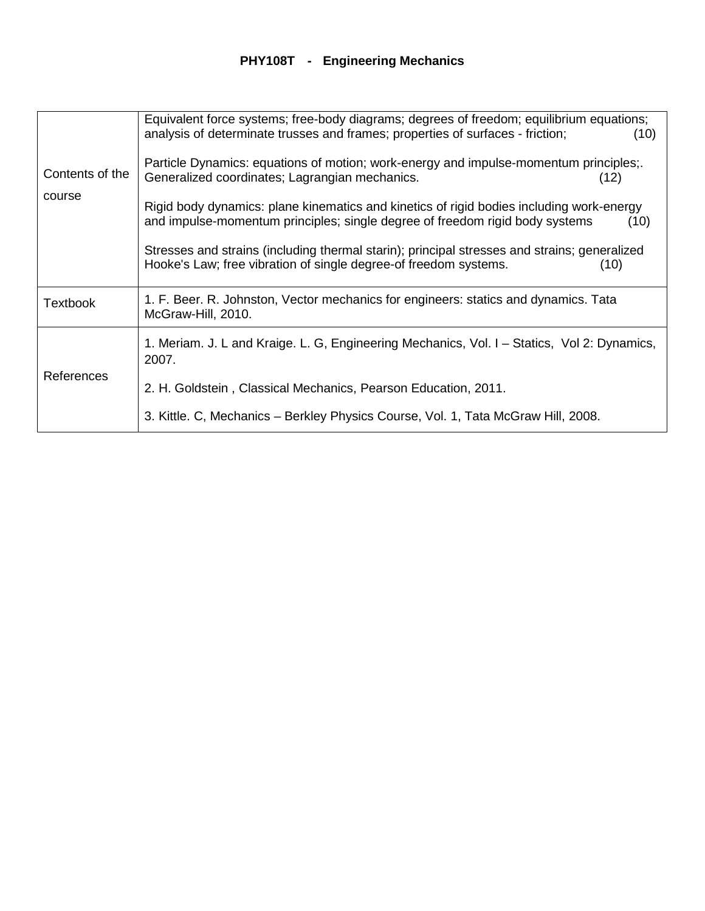## **PHY108T - Engineering Mechanics**

|                           | Equivalent force systems; free-body diagrams; degrees of freedom; equilibrium equations;                                                                                 |      |
|---------------------------|--------------------------------------------------------------------------------------------------------------------------------------------------------------------------|------|
|                           | analysis of determinate trusses and frames; properties of surfaces - friction;                                                                                           | (10) |
|                           | Particle Dynamics: equations of motion; work-energy and impulse-momentum principles;                                                                                     |      |
| Contents of the<br>course | Generalized coordinates; Lagrangian mechanics.                                                                                                                           | (12) |
|                           | Rigid body dynamics: plane kinematics and kinetics of rigid bodies including work-energy<br>and impulse-momentum principles; single degree of freedom rigid body systems | (10) |
|                           | Stresses and strains (including thermal starin); principal stresses and strains; generalized<br>Hooke's Law; free vibration of single degree-of freedom systems.         | (10) |
| Textbook                  | 1. F. Beer. R. Johnston, Vector mechanics for engineers: statics and dynamics. Tata<br>McGraw-Hill, 2010.                                                                |      |
| References                | 1. Meriam. J. L and Kraige. L. G, Engineering Mechanics, Vol. I - Statics, Vol 2: Dynamics,<br>2007.                                                                     |      |
|                           | 2. H. Goldstein, Classical Mechanics, Pearson Education, 2011.                                                                                                           |      |
|                           | 3. Kittle. C, Mechanics – Berkley Physics Course, Vol. 1, Tata McGraw Hill, 2008.                                                                                        |      |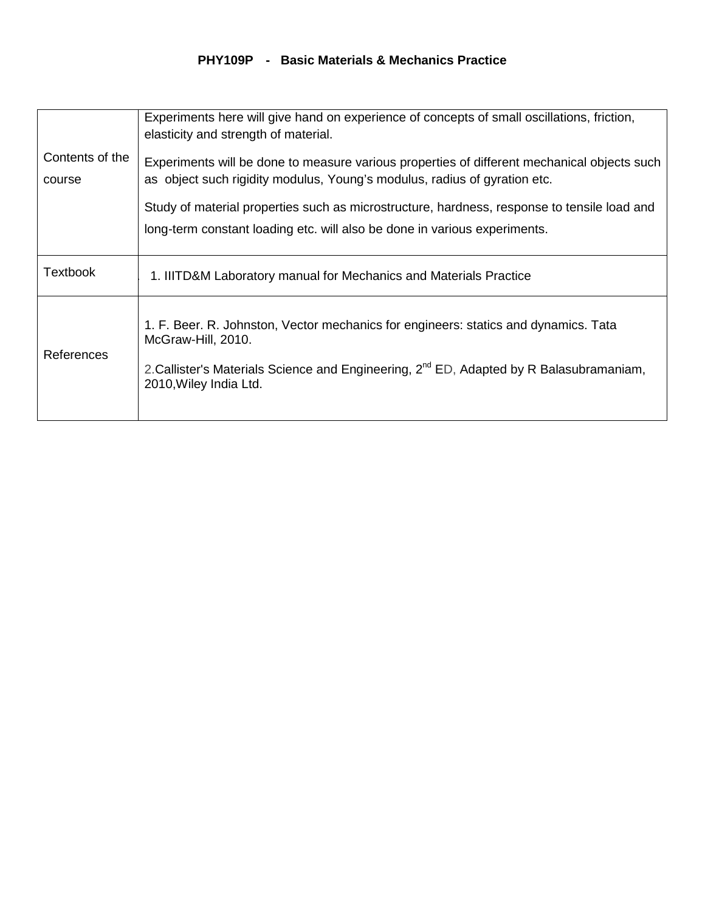#### **PHY109P - Basic Materials & Mechanics Practice**

|                           | Experiments here will give hand on experience of concepts of small oscillations, friction,<br>elasticity and strength of material.                                                                                                         |
|---------------------------|--------------------------------------------------------------------------------------------------------------------------------------------------------------------------------------------------------------------------------------------|
| Contents of the<br>course | Experiments will be done to measure various properties of different mechanical objects such<br>as object such rigidity modulus, Young's modulus, radius of gyration etc.                                                                   |
|                           | Study of material properties such as microstructure, hardness, response to tensile load and<br>long-term constant loading etc. will also be done in various experiments.                                                                   |
| Textbook                  | 1. IIITD&M Laboratory manual for Mechanics and Materials Practice                                                                                                                                                                          |
| References                | 1. F. Beer. R. Johnston, Vector mechanics for engineers: statics and dynamics. Tata<br>McGraw-Hill, 2010.<br>2. Callister's Materials Science and Engineering, 2 <sup>nd</sup> ED, Adapted by R Balasubramaniam,<br>2010, Wiley India Ltd. |